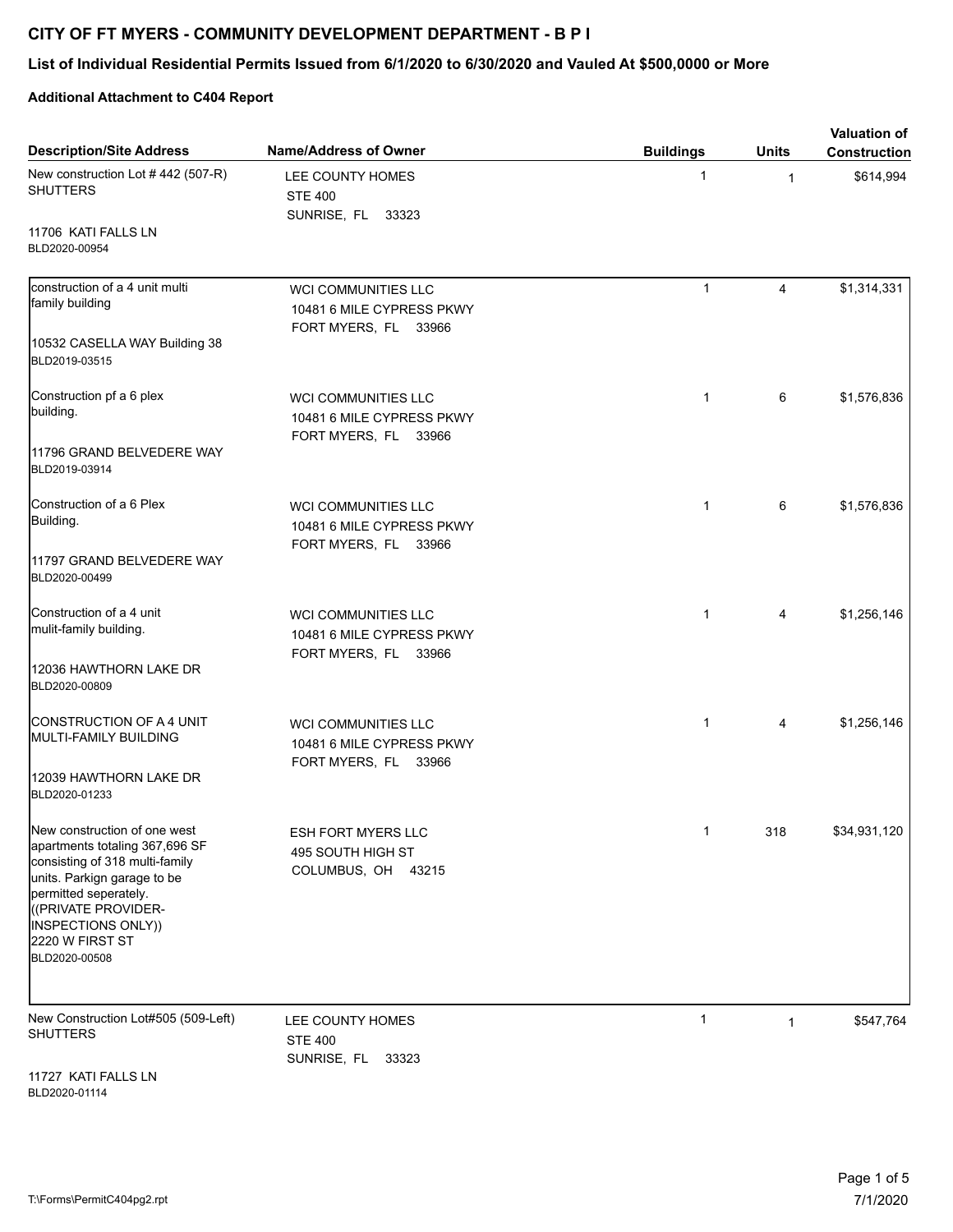## **CITY OF FT MYERS - COMMUNITY DEVELOPMENT DEPARTMENT - B P I**

## **List of Individual Residential Permits Issued from 6/1/2020 to 6/30/2020 and Vauled At \$500,0000 or More**

## **Additional Attachment to C404 Report**

| <b>Description/Site Address</b>                                                                                                                                                                                          | <b>Name/Address of Owner</b>                                                    | <b>Buildings</b> | <b>Units</b> | <b>Valuation of</b><br><b>Construction</b> |
|--------------------------------------------------------------------------------------------------------------------------------------------------------------------------------------------------------------------------|---------------------------------------------------------------------------------|------------------|--------------|--------------------------------------------|
| New construction Lot #442 (507-R)<br><b>SHUTTERS</b>                                                                                                                                                                     | LEE COUNTY HOMES<br><b>STE 400</b><br>SUNRISE, FL 33323                         | $\mathbf 1$      | $\mathbf{1}$ | \$614,994                                  |
| 11706 KATI FALLS LN<br>BLD2020-00954                                                                                                                                                                                     |                                                                                 |                  |              |                                            |
| construction of a 4 unit multi<br>family building                                                                                                                                                                        | <b>WCI COMMUNITIES LLC</b><br>10481 6 MILE CYPRESS PKWY<br>FORT MYERS, FL 33966 | $\mathbf{1}$     | 4            | \$1,314,331                                |
| 10532 CASELLA WAY Building 38<br>BLD2019-03515                                                                                                                                                                           |                                                                                 |                  |              |                                            |
| Construction pf a 6 plex<br>building.                                                                                                                                                                                    | <b>WCI COMMUNITIES LLC</b><br>10481 6 MILE CYPRESS PKWY<br>FORT MYERS, FL 33966 | $\mathbf{1}$     | 6            | \$1,576,836                                |
| 11796 GRAND BELVEDERE WAY<br>BLD2019-03914                                                                                                                                                                               |                                                                                 |                  |              |                                            |
| Construction of a 6 Plex<br>Building.                                                                                                                                                                                    | <b>WCI COMMUNITIES LLC</b><br>10481 6 MILE CYPRESS PKWY<br>FORT MYERS, FL 33966 | $\mathbf{1}$     | 6            | \$1,576,836                                |
| 11797 GRAND BELVEDERE WAY<br>BLD2020-00499                                                                                                                                                                               |                                                                                 |                  |              |                                            |
| Construction of a 4 unit<br>mulit-family building.                                                                                                                                                                       | WCI COMMUNITIES LLC<br>10481 6 MILE CYPRESS PKWY<br>FORT MYERS, FL 33966        | $\mathbf{1}$     | 4            | \$1,256,146                                |
| 12036 HAWTHORN LAKE DR<br>BLD2020-00809                                                                                                                                                                                  |                                                                                 |                  |              |                                            |
| CONSTRUCTION OF A 4 UNIT<br> MULTI-FAMILY BUILDING                                                                                                                                                                       | WCI COMMUNITIES LLC<br>10481 6 MILE CYPRESS PKWY<br>FORT MYERS, FL 33966        | $\mathbf{1}$     | 4            | \$1,256,146                                |
| 12039 HAWTHORN LAKE DR<br>BLD2020-01233                                                                                                                                                                                  |                                                                                 |                  |              |                                            |
| New construction of one west<br>apartments totaling 367,696 SF<br>consisting of 318 multi-family<br>units. Parkign garage to be<br>permitted seperately.<br>((PRIVATE PROVIDER-<br>INSPECTIONS ONLY))<br>2220 W FIRST ST | <b>ESH FORT MYERS LLC</b><br>495 SOUTH HIGH ST<br>COLUMBUS, OH<br>43215         | $\mathbf{1}$     | 318          | \$34,931,120                               |
| BLD2020-00508                                                                                                                                                                                                            |                                                                                 |                  |              |                                            |
| New Construction Lot#505 (509-Left)<br><b>SHUTTERS</b>                                                                                                                                                                   | LEE COUNTY HOMES<br><b>STE 400</b><br>SUNRISE, FL 33323                         | 1                | $\mathbf{1}$ | \$547,764                                  |
| 11727 KATI FALLS LN                                                                                                                                                                                                      |                                                                                 |                  |              |                                            |

BLD2020-01114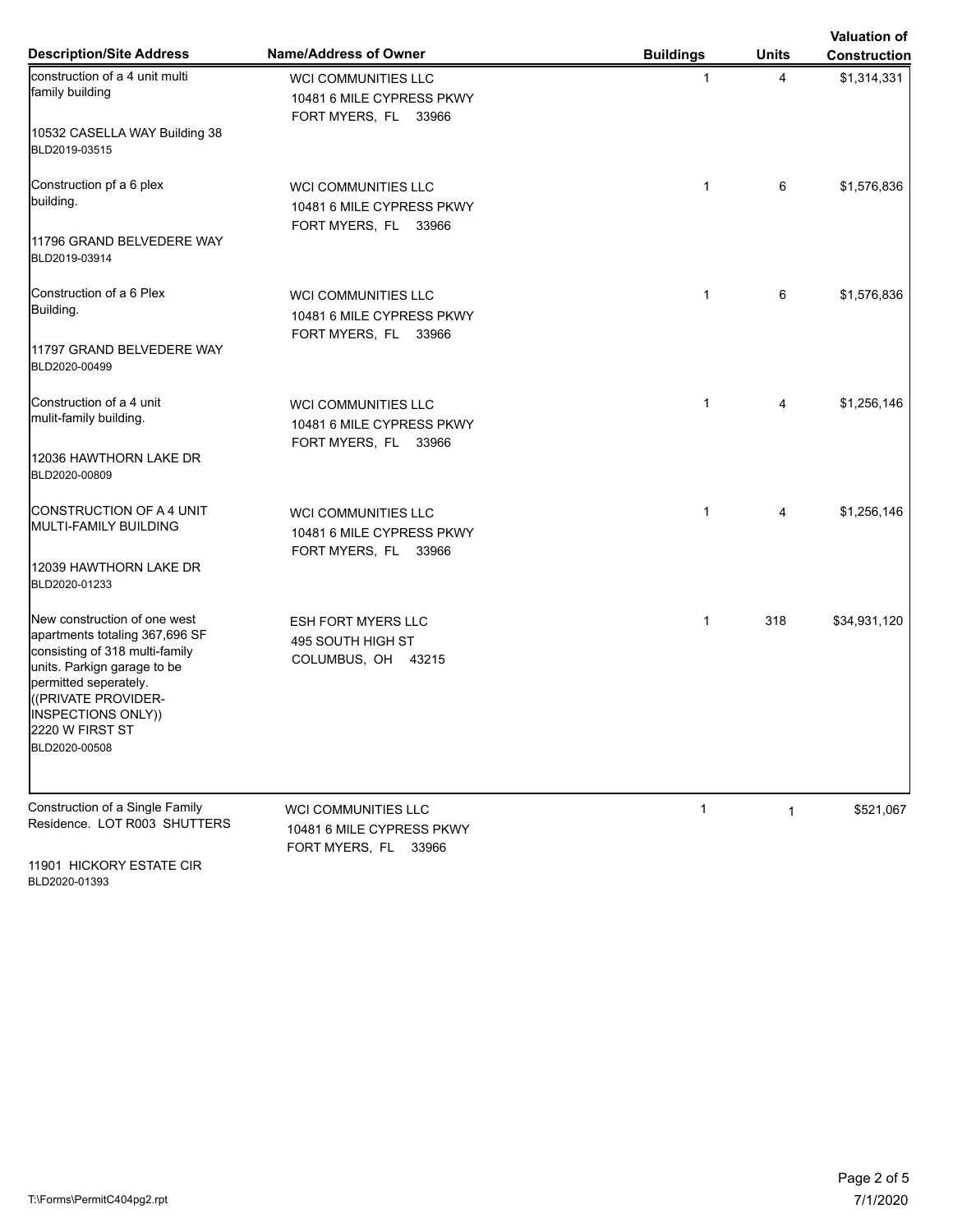| <b>Description/Site Address</b>                                                                                                                                                                       | <b>Name/Address of Owner</b>                                                    | <b>Buildings</b> | <b>Units</b> | <b>Valuation of</b><br><b>Construction</b> |
|-------------------------------------------------------------------------------------------------------------------------------------------------------------------------------------------------------|---------------------------------------------------------------------------------|------------------|--------------|--------------------------------------------|
| construction of a 4 unit multi<br>family building<br>10532 CASELLA WAY Building 38                                                                                                                    | <b>WCI COMMUNITIES LLC</b><br>10481 6 MILE CYPRESS PKWY<br>FORT MYERS, FL 33966 | $\mathbf{1}$     | 4            | \$1,314,331                                |
| BLD2019-03515                                                                                                                                                                                         |                                                                                 |                  |              |                                            |
| Construction pf a 6 plex<br>building.                                                                                                                                                                 | <b>WCI COMMUNITIES LLC</b><br>10481 6 MILE CYPRESS PKWY<br>FORT MYERS, FL 33966 | $\mathbf{1}$     | 6            | \$1,576,836                                |
| 11796 GRAND BELVEDERE WAY<br>BLD2019-03914                                                                                                                                                            |                                                                                 |                  |              |                                            |
| Construction of a 6 Plex<br>Building.                                                                                                                                                                 | <b>WCI COMMUNITIES LLC</b><br>10481 6 MILE CYPRESS PKWY<br>FORT MYERS, FL 33966 | $\mathbf{1}$     | 6            | \$1,576,836                                |
| 11797 GRAND BELVEDERE WAY<br>BLD2020-00499                                                                                                                                                            |                                                                                 |                  |              |                                            |
| Construction of a 4 unit<br>mulit-family building.                                                                                                                                                    | <b>WCI COMMUNITIES LLC</b><br>10481 6 MILE CYPRESS PKWY<br>FORT MYERS, FL 33966 | 1                | 4            | \$1,256,146                                |
| 12036 HAWTHORN LAKE DR<br>BLD2020-00809                                                                                                                                                               |                                                                                 |                  |              |                                            |
| CONSTRUCTION OF A 4 UNIT<br><b>I</b> MULTI-FAMILY BUILDING                                                                                                                                            | <b>WCI COMMUNITIES LLC</b><br>10481 6 MILE CYPRESS PKWY<br>FORT MYERS, FL 33966 | $\mathbf{1}$     | 4            | \$1,256,146                                |
| 12039 HAWTHORN LAKE DR<br>BLD2020-01233                                                                                                                                                               |                                                                                 |                  |              |                                            |
| New construction of one west<br>apartments totaling 367,696 SF<br>consisting of 318 multi-family<br>units. Parkign garage to be<br>permitted seperately.<br>((PRIVATE PROVIDER-<br>INSPECTIONS ONLY)) | <b>ESH FORT MYERS LLC</b><br>495 SOUTH HIGH ST<br>COLUMBUS, OH 43215            | $\mathbf{1}$     | 318          | \$34,931,120                               |
| 2220 W FIRST ST<br>BLD2020-00508                                                                                                                                                                      |                                                                                 |                  |              |                                            |
| Construction of a Single Family<br>Residence. LOT R003 SHUTTERS                                                                                                                                       | <b>WCI COMMUNITIES LLC</b><br>10481 6 MILE CYPRESS PKWY<br>FORT MYERS, FL 33966 | $\mathbf{1}$     | $\mathbf{1}$ | \$521,067                                  |

11901 HICKORY ESTATE CIR BLD2020-01393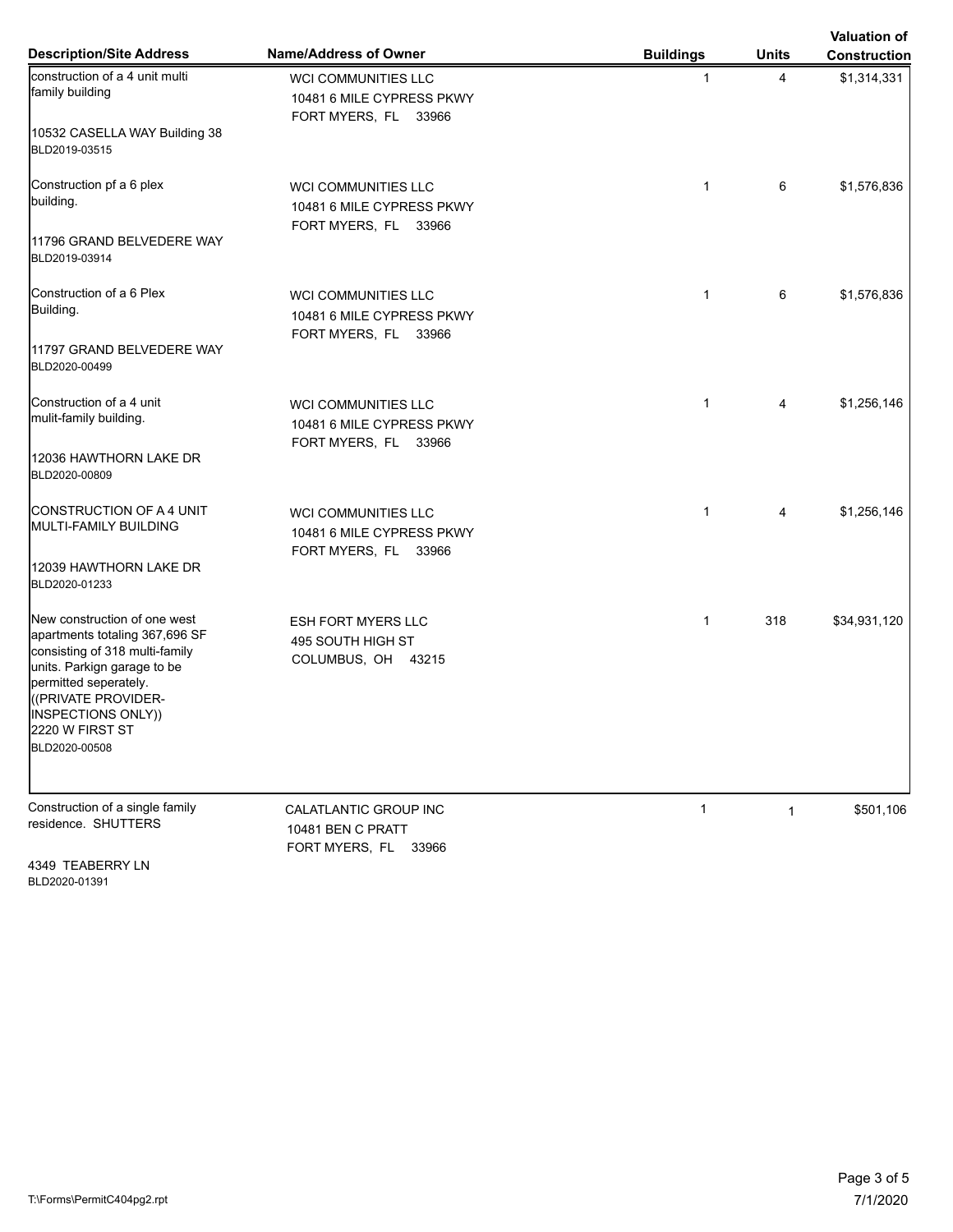| <b>Description/Site Address</b>                                                                                                                                                 | <b>Name/Address of Owner</b>                                                    | <b>Buildings</b> | <b>Units</b> | <b>Valuation of</b><br><b>Construction</b> |
|---------------------------------------------------------------------------------------------------------------------------------------------------------------------------------|---------------------------------------------------------------------------------|------------------|--------------|--------------------------------------------|
| construction of a 4 unit multi<br>family building                                                                                                                               | <b>WCI COMMUNITIES LLC</b><br>10481 6 MILE CYPRESS PKWY<br>FORT MYERS, FL 33966 | $\mathbf{1}$     | 4            | \$1,314,331                                |
| 10532 CASELLA WAY Building 38<br>BLD2019-03515                                                                                                                                  |                                                                                 |                  |              |                                            |
| Construction pf a 6 plex<br>building.                                                                                                                                           | <b>WCI COMMUNITIES LLC</b><br>10481 6 MILE CYPRESS PKWY<br>FORT MYERS, FL 33966 | $\mathbf{1}$     | 6            | \$1,576,836                                |
| 11796 GRAND BELVEDERE WAY<br>BLD2019-03914                                                                                                                                      |                                                                                 |                  |              |                                            |
| Construction of a 6 Plex<br>Building.                                                                                                                                           | <b>WCI COMMUNITIES LLC</b><br>10481 6 MILE CYPRESS PKWY<br>FORT MYERS, FL 33966 | $\mathbf{1}$     | 6            | \$1,576,836                                |
| 11797 GRAND BELVEDERE WAY<br>BLD2020-00499                                                                                                                                      |                                                                                 |                  |              |                                            |
| Construction of a 4 unit<br>mulit-family building.                                                                                                                              | <b>WCI COMMUNITIES LLC</b><br>10481 6 MILE CYPRESS PKWY<br>FORT MYERS, FL 33966 | 1                | 4            | \$1,256,146                                |
| 12036 HAWTHORN LAKE DR<br>BLD2020-00809                                                                                                                                         |                                                                                 |                  |              |                                            |
| CONSTRUCTION OF A 4 UNIT<br><b>I</b> MULTI-FAMILY BUILDING                                                                                                                      | <b>WCI COMMUNITIES LLC</b><br>10481 6 MILE CYPRESS PKWY<br>FORT MYERS, FL 33966 | $\mathbf{1}$     | 4            | \$1,256,146                                |
| 12039 HAWTHORN LAKE DR<br>BLD2020-01233                                                                                                                                         |                                                                                 |                  |              |                                            |
| New construction of one west<br>apartments totaling 367,696 SF<br>consisting of 318 multi-family<br>units. Parkign garage to be<br>permitted seperately.<br>((PRIVATE PROVIDER- | <b>ESH FORT MYERS LLC</b><br>495 SOUTH HIGH ST<br>COLUMBUS, OH 43215            | $\mathbf{1}$     | 318          | \$34,931,120                               |
| INSPECTIONS ONLY))<br>2220 W FIRST ST<br>BLD2020-00508                                                                                                                          |                                                                                 |                  |              |                                            |
| Construction of a single family<br>residence. SHUTTERS                                                                                                                          | CALATLANTIC GROUP INC<br>10481 BEN C PRATT<br>FORT MYERS, FL 33966              | $\mathbf{1}$     | $\mathbf{1}$ | \$501,106                                  |

4349 TEABERRY LN BLD2020-01391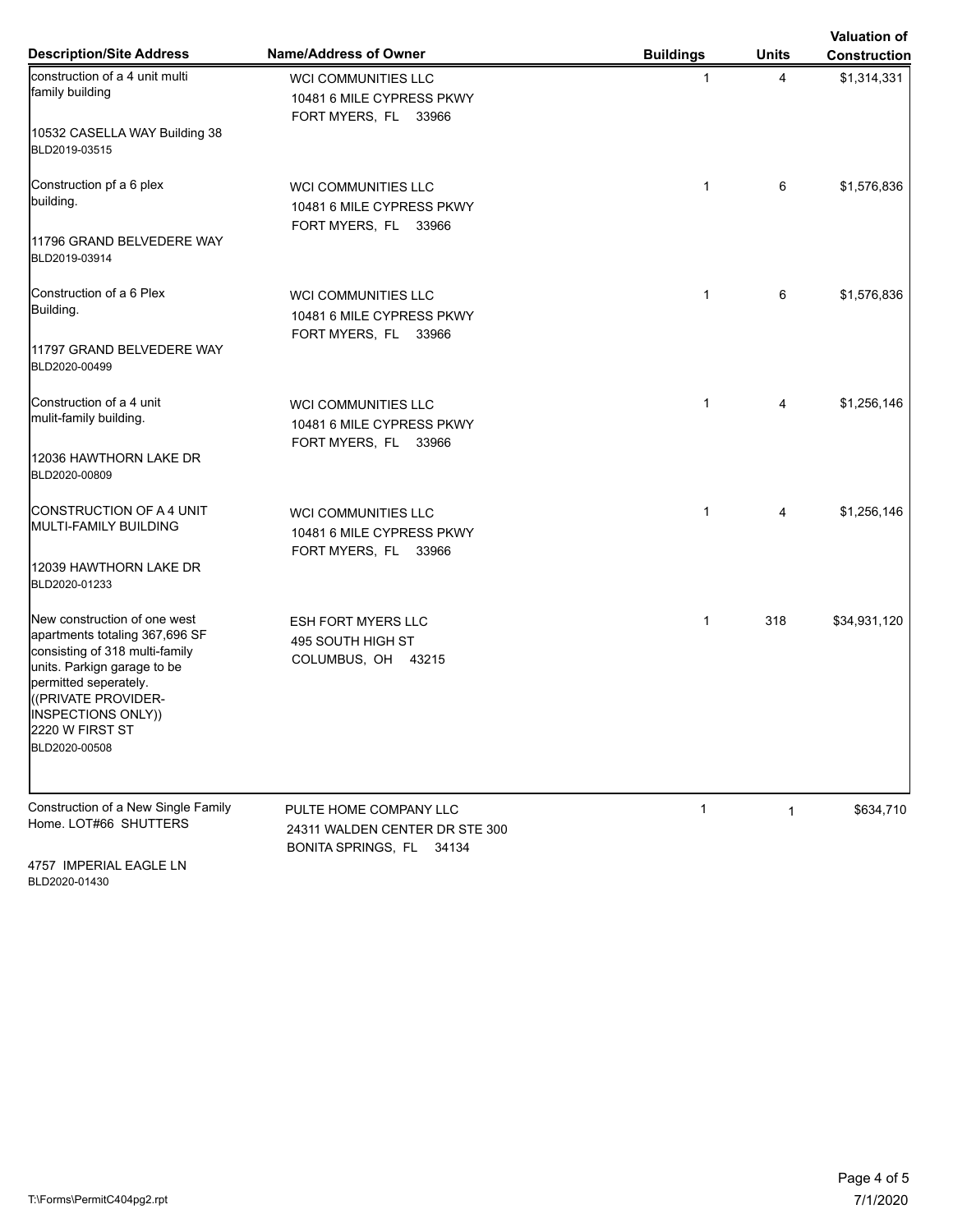| <b>Description/Site Address</b>                                                                                                                                                                       | Name/Address of Owner                                                                | <b>Buildings</b> | <b>Units</b> | <b>Valuation of</b><br><b>Construction</b> |
|-------------------------------------------------------------------------------------------------------------------------------------------------------------------------------------------------------|--------------------------------------------------------------------------------------|------------------|--------------|--------------------------------------------|
| construction of a 4 unit multi<br>family building                                                                                                                                                     | WCI COMMUNITIES LLC<br>10481 6 MILE CYPRESS PKWY<br>FORT MYERS, FL 33966             | $\mathbf{1}$     | 4            | \$1,314,331                                |
| 10532 CASELLA WAY Building 38<br>BLD2019-03515                                                                                                                                                        |                                                                                      |                  |              |                                            |
| Construction pf a 6 plex<br>building.                                                                                                                                                                 | <b>WCI COMMUNITIES LLC</b><br>10481 6 MILE CYPRESS PKWY<br>FORT MYERS, FL 33966      | $\mathbf{1}$     | 6            | \$1,576,836                                |
| 11796 GRAND BELVEDERE WAY<br>BLD2019-03914                                                                                                                                                            |                                                                                      |                  |              |                                            |
| Construction of a 6 Plex<br>Building.                                                                                                                                                                 | <b>WCI COMMUNITIES LLC</b><br>10481 6 MILE CYPRESS PKWY<br>FORT MYERS, FL 33966      | $\mathbf{1}$     | 6            | \$1,576,836                                |
| 11797 GRAND BELVEDERE WAY<br>BLD2020-00499                                                                                                                                                            |                                                                                      |                  |              |                                            |
| Construction of a 4 unit<br>mulit-family building.                                                                                                                                                    | WCI COMMUNITIES LLC<br>10481 6 MILE CYPRESS PKWY<br>FORT MYERS, FL 33966             | $\mathbf{1}$     | 4            | \$1,256,146                                |
| 12036 HAWTHORN LAKE DR<br>BLD2020-00809                                                                                                                                                               |                                                                                      |                  |              |                                            |
| CONSTRUCTION OF A 4 UNIT<br> MULTI-FAMILY BUILDING                                                                                                                                                    | WCI COMMUNITIES LLC<br>10481 6 MILE CYPRESS PKWY<br>FORT MYERS, FL 33966             | $\mathbf{1}$     | 4            | \$1,256,146                                |
| 12039 HAWTHORN LAKE DR<br>BLD2020-01233                                                                                                                                                               |                                                                                      |                  |              |                                            |
| New construction of one west<br>apartments totaling 367,696 SF<br>consisting of 318 multi-family<br>units. Parkign garage to be<br>permitted seperately.<br>((PRIVATE PROVIDER-<br>INSPECTIONS ONLY)) | <b>ESH FORT MYERS LLC</b><br>495 SOUTH HIGH ST<br>COLUMBUS, OH 43215                 | $\mathbf{1}$     | 318          | \$34,931,120                               |
| 2220 W FIRST ST<br>BLD2020-00508                                                                                                                                                                      |                                                                                      |                  |              |                                            |
| Construction of a New Single Family<br>Home. LOT#66 SHUTTERS                                                                                                                                          | PULTE HOME COMPANY LLC<br>24311 WALDEN CENTER DR STE 300<br>BONITA SPRINGS, FL 34134 | $\mathbf{1}$     | $\mathbf{1}$ | \$634,710                                  |

4757 IMPERIAL EAGLE LN BLD2020-01430